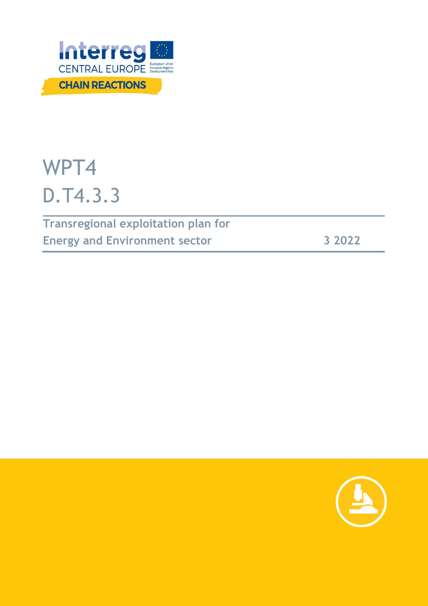

# WPT4 D.T4.3.3

**Transregional exploitation plan for Energy and Environment sector 3 2022**

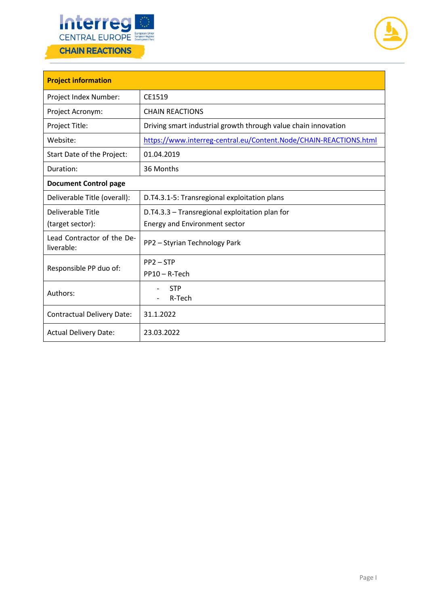



| <b>Project information</b>               |                                                                   |  |  |  |
|------------------------------------------|-------------------------------------------------------------------|--|--|--|
| Project Index Number:                    | CE1519                                                            |  |  |  |
| Project Acronym:                         | <b>CHAIN REACTIONS</b>                                            |  |  |  |
| Project Title:                           | Driving smart industrial growth through value chain innovation    |  |  |  |
| Website:                                 | https://www.interreg-central.eu/Content.Node/CHAIN-REACTIONS.html |  |  |  |
| Start Date of the Project:               | 01.04.2019                                                        |  |  |  |
| Duration:                                | 36 Months                                                         |  |  |  |
| <b>Document Control page</b>             |                                                                   |  |  |  |
| Deliverable Title (overall):             | D.T4.3.1-5: Transregional exploitation plans                      |  |  |  |
| Deliverable Title                        | D.T4.3.3 - Transregional exploitation plan for                    |  |  |  |
| (target sector):                         | <b>Energy and Environment sector</b>                              |  |  |  |
| Lead Contractor of the De-<br>liverable: | PP2 - Styrian Technology Park                                     |  |  |  |
| Responsible PP duo of:                   | $PP2 - STP$                                                       |  |  |  |
|                                          | $PP10 - R-Tech$                                                   |  |  |  |
| Authors:                                 | <b>STP</b><br>R-Tech                                              |  |  |  |
| <b>Contractual Delivery Date:</b>        | 31.1.2022                                                         |  |  |  |
| <b>Actual Delivery Date:</b>             | 23.03.2022                                                        |  |  |  |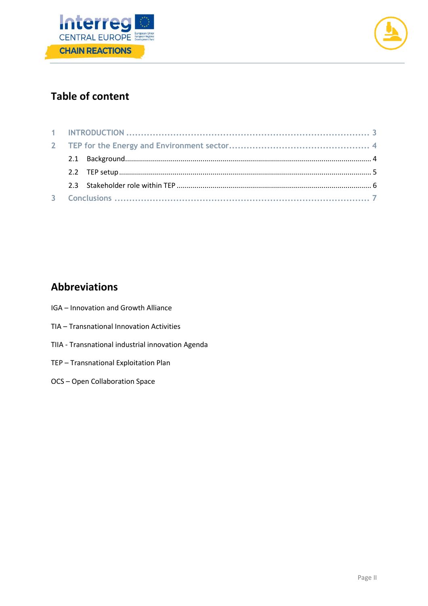



# **Table of content**

# **Abbreviations**

- IGA Innovation and Growth Alliance
- TIA Transnational Innovation Activities
- TIIA Transnational industrial innovation Agenda
- TEP Transnational Exploitation Plan
- OCS Open Collaboration Space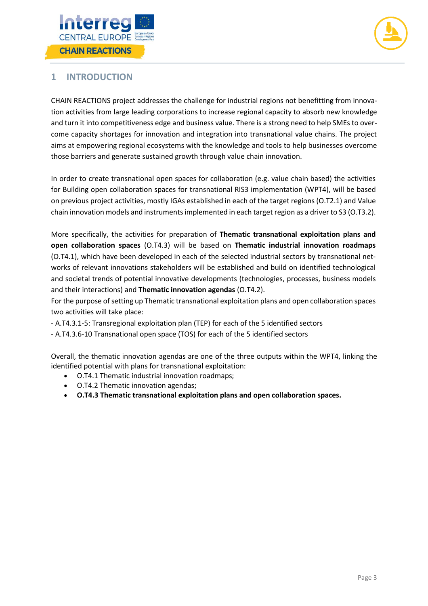



## <span id="page-3-0"></span>**1 INTRODUCTION**

CHAIN REACTIONS project addresses the challenge for industrial regions not benefitting from innovation activities from large leading corporations to increase regional capacity to absorb new knowledge and turn it into competitiveness edge and business value. There is a strong need to help SMEs to overcome capacity shortages for innovation and integration into transnational value chains. The project aims at empowering regional ecosystems with the knowledge and tools to help businesses overcome those barriers and generate sustained growth through value chain innovation.

In order to create transnational open spaces for collaboration (e.g. value chain based) the activities for Building open collaboration spaces for transnational RIS3 implementation (WPT4), will be based on previous project activities, mostly IGAs established in each of the target regions (O.T2.1) and Value chain innovation models and instruments implemented in each target region as a driver to S3 (O.T3.2).

More specifically, the activities for preparation of **Thematic transnational exploitation plans and open collaboration spaces** (O.T4.3) will be based on **Thematic industrial innovation roadmaps** (O.T4.1), which have been developed in each of the selected industrial sectors by transnational networks of relevant innovations stakeholders will be established and build on identified technological and societal trends of potential innovative developments (technologies, processes, business models and their interactions) and **Thematic innovation agendas** (O.T4.2).

For the purpose of setting up Thematic transnational exploitation plans and open collaboration spaces two activities will take place:

- A.T4.3.1-5: Transregional exploitation plan (TEP) for each of the 5 identified sectors
- A.T4.3.6-10 Transnational open space (TOS) for each of the 5 identified sectors

Overall, the thematic innovation agendas are one of the three outputs within the WPT4, linking the identified potential with plans for transnational exploitation:

- O.T4.1 Thematic industrial innovation roadmaps;
- O.T4.2 Thematic innovation agendas;
- **O.T4.3 Thematic transnational exploitation plans and open collaboration spaces.**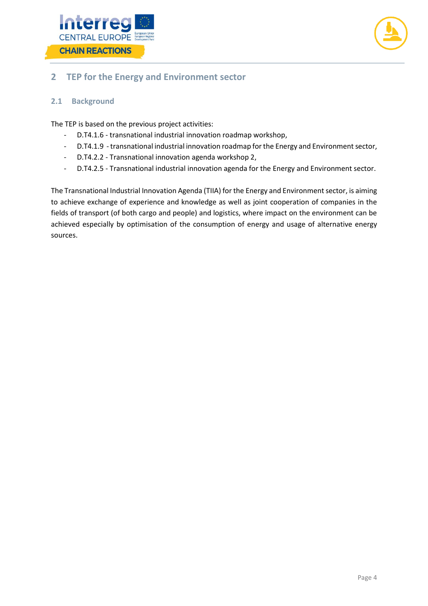



## <span id="page-4-0"></span>**2 TEP for the Energy and Environment sector**

#### <span id="page-4-1"></span>**2.1 Background**

The TEP is based on the previous project activities:

- D.T4.1.6 transnational industrial innovation roadmap workshop,
- D.T4.1.9 transnational industrial innovation roadmap for the Energy and Environment sector,
- D.T4.2.2 Transnational innovation agenda workshop 2,
- D.T4.2.5 Transnational industrial innovation agenda for the Energy and Environment sector.

The Transnational Industrial Innovation Agenda (TIIA) for the Energy and Environment sector, is aiming to achieve exchange of experience and knowledge as well as joint cooperation of companies in the fields of transport (of both cargo and people) and logistics, where impact on the environment can be achieved especially by optimisation of the consumption of energy and usage of alternative energy sources.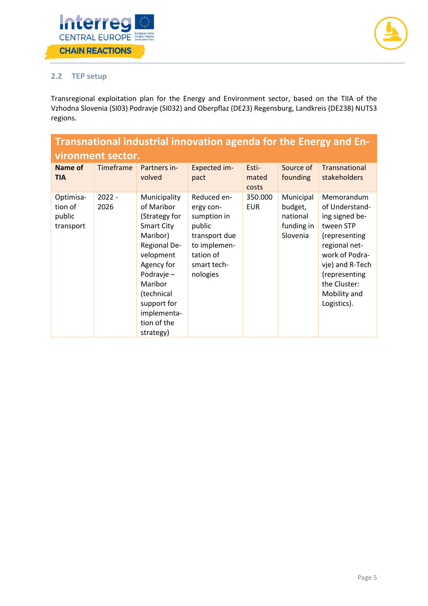



#### <span id="page-5-0"></span>**2.2 TEP setup**

Transregional exploitation plan for the Energy and Environment sector, based on the TIIA of the Vzhodna Slovenia (SI03) Podravje (SI032) and Oberpflaz (DE23) Regensburg, Landkreis (DE238) NUTS3 regions.

| Transnational industrial innovation agenda for the Energy and En- |                  |                                                                                                                                                                                                                          |                                                                                                                            |                         |                                                            |                                                                                                                                                                                                    |  |
|-------------------------------------------------------------------|------------------|--------------------------------------------------------------------------------------------------------------------------------------------------------------------------------------------------------------------------|----------------------------------------------------------------------------------------------------------------------------|-------------------------|------------------------------------------------------------|----------------------------------------------------------------------------------------------------------------------------------------------------------------------------------------------------|--|
| vironment sector.                                                 |                  |                                                                                                                                                                                                                          |                                                                                                                            |                         |                                                            |                                                                                                                                                                                                    |  |
| Name of<br><b>TIA</b>                                             | Timeframe        | Partners in-<br>volved                                                                                                                                                                                                   | Expected im-<br>pact                                                                                                       | Esti-<br>mated<br>costs | Source of<br>founding                                      | Transnational<br><b>stakeholders</b>                                                                                                                                                               |  |
| Optimisa-<br>tion of<br>public<br>transport                       | $2022 -$<br>2026 | Municipality<br>of Maribor<br>(Strategy for<br><b>Smart City</b><br>Maribor)<br>Regional De-<br>velopment<br>Agency for<br>Podravje –<br>Maribor<br>(technical<br>support for<br>implementa-<br>tion of the<br>strategy) | Reduced en-<br>ergy con-<br>sumption in<br>public<br>transport due<br>to implemen-<br>tation of<br>smart tech-<br>nologies | 350.000<br><b>EUR</b>   | Municipal<br>budget,<br>national<br>funding in<br>Slovenia | Memorandum<br>of Understand-<br>ing signed be-<br>tween STP<br>(representing<br>regional net-<br>work of Podra-<br>vje) and R-Tech<br>(representing<br>the Cluster:<br>Mobility and<br>Logistics). |  |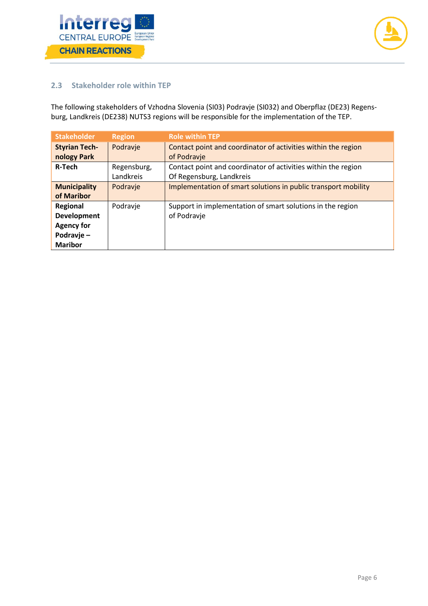



#### <span id="page-6-0"></span>**2.3 Stakeholder role within TEP**

The following stakeholders of Vzhodna Slovenia (SI03) Podravje (SI032) and Oberpflaz (DE23) Regensburg, Landkreis (DE238) NUTS3 regions will be responsible for the implementation of the TEP.

| <b>Stakeholder</b>   | <b>Region</b> | <b>Role within TEP</b>                                         |
|----------------------|---------------|----------------------------------------------------------------|
| <b>Styrian Tech-</b> | Podravje      | Contact point and coordinator of activities within the region  |
| nology Park          |               | of Podravje                                                    |
| <b>R-Tech</b>        | Regensburg,   | Contact point and coordinator of activities within the region  |
|                      | Landkreis     | Of Regensburg, Landkreis                                       |
| <b>Municipality</b>  | Podravje      | Implementation of smart solutions in public transport mobility |
| of Maribor           |               |                                                                |
| Regional             | Podravje      | Support in implementation of smart solutions in the region     |
| <b>Development</b>   |               | of Podravje                                                    |
| <b>Agency for</b>    |               |                                                                |
| Podravje-            |               |                                                                |
| <b>Maribor</b>       |               |                                                                |